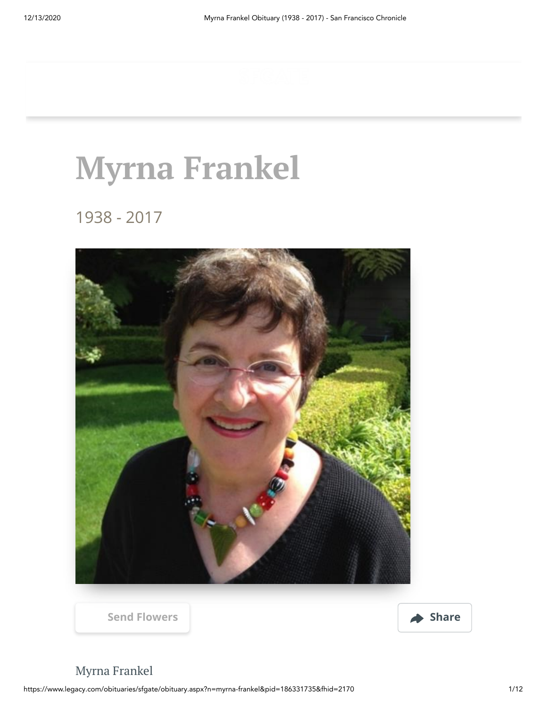# **Myrna Frankel**

1938 - 2017





# Myrna Frankel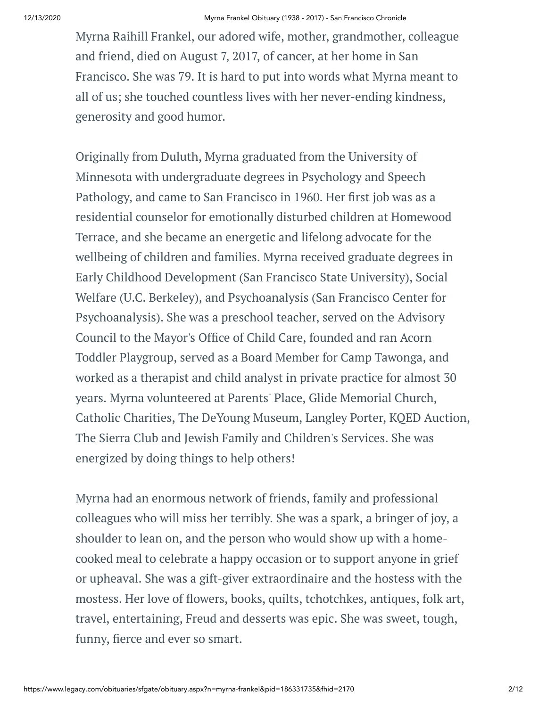Myrna Raihill Frankel, our adored wife, mother, grandmother, colleague and friend, died on August 7, 2017, of cancer, at her home in San Francisco. She was 79. It is hard to put into words what Myrna meant to all of us; she touched countless lives with her never-ending kindness, generosity and good humor.

Originally from Duluth, Myrna graduated from the University of Minnesota with undergraduate degrees in Psychology and Speech Pathology, and came to San Francisco in 1960. Her first job was as a residential counselor for emotionally disturbed children at Homewood Terrace, and she became an energetic and lifelong advocate for the wellbeing of children and families. Myrna received graduate degrees in Early Childhood Development (San Francisco State University), Social Welfare (U.C. Berkeley), and Psychoanalysis (San Francisco Center for Psychoanalysis). She was a preschool teacher, served on the Advisory Council to the Mayor's Office of Child Care, founded and ran Acorn Toddler Playgroup, served as a Board Member for Camp Tawonga, and worked as a therapist and child analyst in private practice for almost 30 years. Myrna volunteered at Parents' Place, Glide Memorial Church, Catholic Charities, The DeYoung Museum, Langley Porter, KQED Auction, The Sierra Club and Jewish Family and Children's Services. She was energized by doing things to help others!

Myrna had an enormous network of friends, family and professional colleagues who will miss her terribly. She was a spark, a bringer of joy, a shoulder to lean on, and the person who would show up with a homecooked meal to celebrate a happy occasion or to support anyone in grief or upheaval. She was a gift-giver extraordinaire and the hostess with the mostess. Her love of flowers, books, quilts, tchotchkes, antiques, folk art, travel, entertaining, Freud and desserts was epic. She was sweet, tough, funny, fierce and ever so smart.